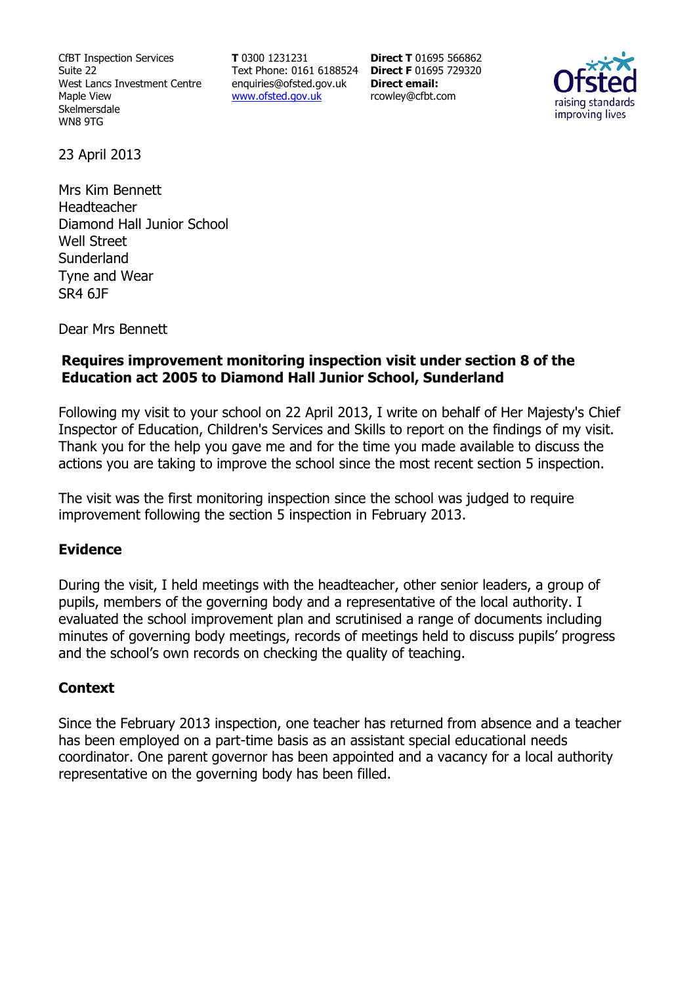CfBT Inspection Services Suite 22 West Lancs Investment Centre Maple View Skelmersdale WN8 9TG

**T** 0300 1231231 Text Phone: 0161 6188524 **Direct F** 01695 729320 enquiries@ofsted.gov.uk www.ofsted.gov.uk

**Direct T** 01695 566862 **Direct email:**  rcowley@cfbt.com



23 April 2013

Mrs Kim Bennett Headteacher Diamond Hall Junior School Well Street **Sunderland** Tyne and Wear SR4 6JF

Dear Mrs Bennett

### **Requires improvement monitoring inspection visit under section 8 of the Education act 2005 to Diamond Hall Junior School, Sunderland**

Following my visit to your school on 22 April 2013, I write on behalf of Her Majesty's Chief Inspector of Education, Children's Services and Skills to report on the findings of my visit. Thank you for the help you gave me and for the time you made available to discuss the actions you are taking to improve the school since the most recent section 5 inspection.

The visit was the first monitoring inspection since the school was judged to require improvement following the section 5 inspection in February 2013.

#### **Evidence**

During the visit, I held meetings with the headteacher, other senior leaders, a group of pupils, members of the governing body and a representative of the local authority. I evaluated the school improvement plan and scrutinised a range of documents including minutes of governing body meetings, records of meetings held to discuss pupils' progress and the school's own records on checking the quality of teaching.

### **Context**

Since the February 2013 inspection, one teacher has returned from absence and a teacher has been employed on a part-time basis as an assistant special educational needs coordinator. One parent governor has been appointed and a vacancy for a local authority representative on the governing body has been filled.